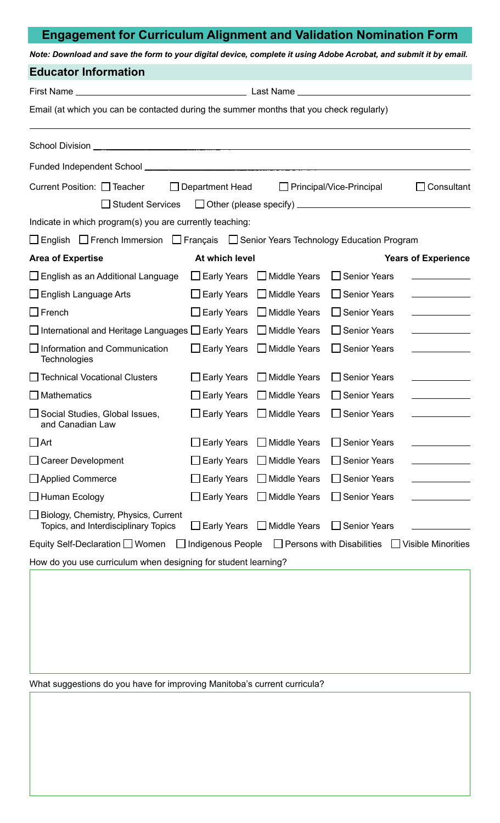## **Engagement for Curriculum Alignment and Validation Nomination Form**

*Note: Download and save the form to your digital device, complete it using Adobe Acrobat, and submit it by email.*

| Email (at which you can be contacted during the summer months that you check regularly) |                                     |                                                                                                                                                                                                                                                                        |                                                                                                                                                            |  |  |  |
|-----------------------------------------------------------------------------------------|-------------------------------------|------------------------------------------------------------------------------------------------------------------------------------------------------------------------------------------------------------------------------------------------------------------------|------------------------------------------------------------------------------------------------------------------------------------------------------------|--|--|--|
|                                                                                         |                                     |                                                                                                                                                                                                                                                                        |                                                                                                                                                            |  |  |  |
|                                                                                         |                                     |                                                                                                                                                                                                                                                                        |                                                                                                                                                            |  |  |  |
| Department Head                                                                         |                                     |                                                                                                                                                                                                                                                                        | $\Box$ Consultant                                                                                                                                          |  |  |  |
|                                                                                         |                                     |                                                                                                                                                                                                                                                                        |                                                                                                                                                            |  |  |  |
| Indicate in which program(s) you are currently teaching:                                |                                     |                                                                                                                                                                                                                                                                        |                                                                                                                                                            |  |  |  |
|                                                                                         |                                     |                                                                                                                                                                                                                                                                        |                                                                                                                                                            |  |  |  |
|                                                                                         |                                     |                                                                                                                                                                                                                                                                        | <b>Years of Experience</b>                                                                                                                                 |  |  |  |
| $\Box$ Early Years                                                                      | $\Box$ Middle Years                 | □ Senior Years                                                                                                                                                                                                                                                         |                                                                                                                                                            |  |  |  |
| $\Box$ Early Years                                                                      |                                     | $\Box$ Senior Years                                                                                                                                                                                                                                                    |                                                                                                                                                            |  |  |  |
| $\Box$ Early Years                                                                      |                                     | <b>Senior Years</b>                                                                                                                                                                                                                                                    |                                                                                                                                                            |  |  |  |
| ∐ International and Heritage Languages LJ Early Years                                   |                                     | $\square$ Senior Years                                                                                                                                                                                                                                                 | the control of the control of the control of                                                                                                               |  |  |  |
| $\Box$ Early Years                                                                      |                                     | <b>Senior Years</b>                                                                                                                                                                                                                                                    |                                                                                                                                                            |  |  |  |
| $\bigsqcup$ Early Years                                                                 | $\Box$ Middle Years                 | □ Senior Years                                                                                                                                                                                                                                                         |                                                                                                                                                            |  |  |  |
|                                                                                         |                                     | $\square$ Senior Years                                                                                                                                                                                                                                                 |                                                                                                                                                            |  |  |  |
|                                                                                         |                                     | <b>Senior Years</b>                                                                                                                                                                                                                                                    |                                                                                                                                                            |  |  |  |
| $\square$ Early Years                                                                   | <b>Middle Years</b><br>$\mathsf{L}$ | <b>Senior Years</b>                                                                                                                                                                                                                                                    |                                                                                                                                                            |  |  |  |
| $\Box$ Early Years                                                                      | □ Middle Years                      | $\square$ Senior Years                                                                                                                                                                                                                                                 |                                                                                                                                                            |  |  |  |
| _ Early Years                                                                           | <b>Middle Years</b>                 | <b>Senior Years</b>                                                                                                                                                                                                                                                    |                                                                                                                                                            |  |  |  |
| ∐ Early Years                                                                           | <b>Middle Years</b><br>$\mathbf{I}$ | <b>Senior Years</b>                                                                                                                                                                                                                                                    |                                                                                                                                                            |  |  |  |
| $\square$ Early Years                                                                   | <b>Middle Years</b><br>l l          | <b>Senior Years</b>                                                                                                                                                                                                                                                    |                                                                                                                                                            |  |  |  |
|                                                                                         |                                     |                                                                                                                                                                                                                                                                        | $\Box$ Visible Minorities                                                                                                                                  |  |  |  |
|                                                                                         |                                     |                                                                                                                                                                                                                                                                        |                                                                                                                                                            |  |  |  |
|                                                                                         |                                     | At which level<br>□ Middle Years<br>$\Box$ Middle Years<br>□ Middle Years<br>□ Middle Years<br>$\Box$ Early Years $\Box$ Middle Years<br>$\Box$ Early Years $\Box$ Middle Years<br>Indigenous People<br>How do you use curriculum when designing for student learning? | $\Box$ Principal/Vice-Principal<br>□ English □ French Immersion □ Français □ Senior Years Technology Education Program<br>$\Box$ Persons with Disabilities |  |  |  |

What suggestions do you have for improving Manitoba's current curricula?